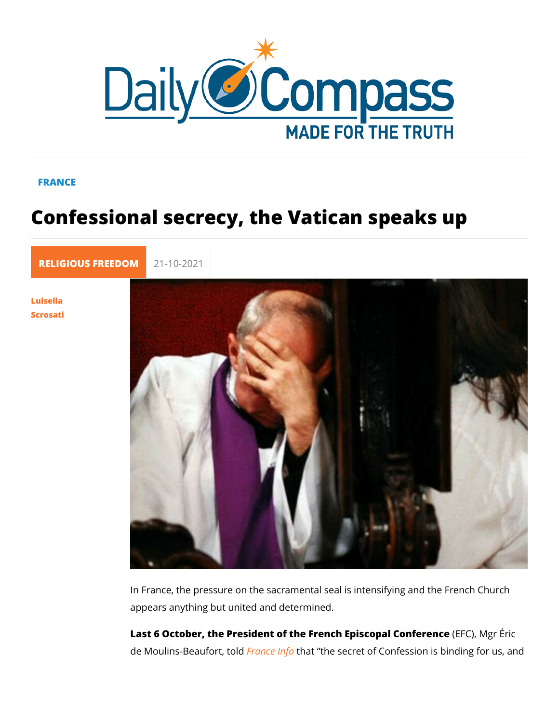## FRANCE

## Confessional secrecy, the Vatican spe

[RELIGIOUS FR](https://newdailycompass.com/en/religious-freedom)E 21-10-2021

[Luisel](/en/luisella-scrosati)la [Scros](/en/luisella-scrosati)ati

> In France, the pressure on the sacramental seal is intensifying appears anything but united and determined.

> Last 6 October, the President of the French Epi(SECFO Q )al MC gom ferrice de Moulins-Beauf  $\frac{b}{b}$ rantel dthat the secret of Confession is bind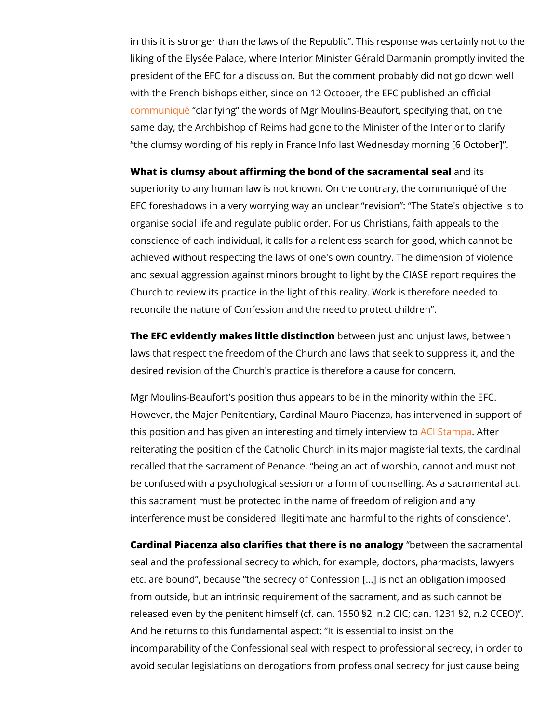in this it is stronger than the laws of the Republic . This  $resp$ liking of the Elysée Palace, where Interior Minister Gérald Dai president of the EFC for a discussion. But the comment probat with the French bishops either, since on 12 October, the EFC [communi](https://eglise.catholique.fr/espace-presse/communiques-de-presse/519561-entrevue-avec-m-gerald-darmanin-mgr-eric-de-moulins-beaufort-revient-sur-les-enjeux-fondamentaux-du-rapport-de-la-ciase/)qué arifying the words of Mgr Moulins-Beaufort, speci same day, the Archbishop of Reims had gone to the Minister of the clumsy wording of his reply in France Info last Wednesday

What is clumsy about affirming the bond of the samedrainsental se superiority to any human law is not known. On the contrary, th EFC foreshadows in a very worrying way an unclear revision : organise social life and regulate public order. For us Christian conscience of each individual, it calls for a relentless search achieved without respecting the laws of one's own country. Th and sexual aggression against minors brought to light by the C Church to review its practice in the light of this reality. Work reconcile the nature of Confession and the need to protect chi

The EFC evidently makes littlebeltswien at jourst and unjust laws, between the between  $\mathbf{r}$ laws that respect the freedom of the Church and laws that see desired revision of the Church's practice is therefore a cause

Mgr Moulins-Beaufort's position thus appears to be in the minor However, the Major Penitentiary, Cardinal Mauro Piacenza, ha this position and has given an interesting <mark>ancd Simanen</mark>As **aine r**erview reiterating the position of the Catholic Church in its major ma recalled that the sacrament of Penance, being an act of worsh be confused with a psychological session or a form of counsel this sacrament must be protected in the name of freedom of re interference must be considered illegitimate and harmful to th

Cardinal Piacenza also clarifies that therbeeitswemenathaelosgay.cramer seal and the professional secrecy to which, for example, docto etc. are bound, because the secrecy of Confession [...] is no from outside, but an intrinsic requirement of the sacrament, an released even by the penitent himself (cf. can. 1550  $\S 2$ , n.2 C And he returns to this fundamental aspect: It is essential to i incomparability of the Confessional seal with respect to profes avoid secular legislations on derogations from professional se